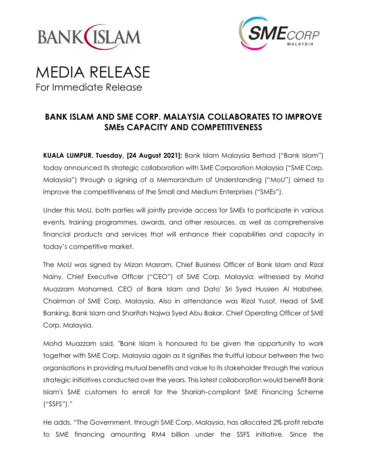



# MEDIA RELEASE For Immediate Release

# **BANK ISLAM AND SME CORP. MALAYSIA COLLABORATES TO IMPROVE SMEs CAPACITY AND COMPETITIVENESS**

**KUALA LUMPUR, Tuesday, [24 August 2021]:** Bank Islam Malaysia Berhad ("Bank Islam") today announced its strategic collaboration with SME Corporation Malaysia ("SME Corp. Malaysia") through a signing of a Memorandum of Understanding ("MoU") aimed to improve the competitiveness of the Small and Medium Enterprises ("SMEs").

Under this MoU, both parties will jointly provide access for SMEs to participate in various events, training programmes, awards, and other resources, as well as comprehensive financial products and services that will enhance their capabilities and capacity in today's competitive market.

The MoU was signed by Mizan Masram, Chief Business Officer of Bank Islam and Rizal Nainy, Chief Executive Officer ("CEO") of SME Corp. Malaysia; witnessed by Mohd Muazzam Mohamed, CEO of Bank Islam and Dato' Sri Syed Hussien Al Habshee, Chairman of SME Corp. Malaysia. Also in attendance was Rizal Yusof, Head of SME Banking, Bank Islam and Sharifah Najwa Syed Abu Bakar, Chief Operating Officer of SME Corp. Malaysia.

Mohd Muazzam said, "Bank Islam is honoured to be given the opportunity to work together with SME Corp. Malaysia again as it signifies the fruitful labour between the two organisations in providing mutual benefits and value to its stakeholder through the various strategic initiatives conducted over the years. This latest collaboration would benefit Bank Islam's SME customers to enroll for the Shariah-compliant SME Financing Scheme ("SSFS")."

He adds, "The Government, through SME Corp. Malaysia, has allocated 2% profit rebate to SME financing amounting RM4 billion under the SSFS initiative. Since the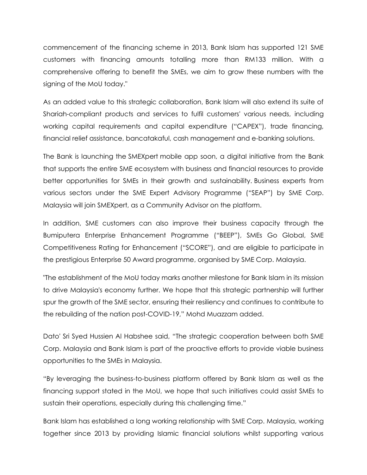commencement of the financing scheme in 2013, Bank Islam has supported 121 SME customers with financing amounts totalling more than RM133 million. With a comprehensive offering to benefit the SMEs, we aim to grow these numbers with the signing of the MoU today."

As an added value to this strategic collaboration, Bank Islam will also extend its suite of Shariah-compliant products and services to fulfil customers' various needs, including working capital requirements and capital expenditure ("CAPEX"), trade financing, financial relief assistance, bancatakaful, cash management and e-banking solutions.

The Bank is launching the SMEXpert mobile app soon, a digital initiative from the Bank that supports the entire SME ecosystem with business and financial resources to provide better opportunities for SMEs in their growth and sustainability. Business experts from various sectors under the SME Expert Advisory Programme ("SEAP") by SME Corp. Malaysia will join SMEXpert, as a Community Advisor on the platform.

In addition, SME customers can also improve their business capacity through the Bumiputera Enterprise Enhancement Programme ("BEEP"), SMEs Go Global, SME Competitiveness Rating for Enhancement ("SCORE"), and are eligible to participate in the prestigious Enterprise 50 Award programme, organised by SME Corp. Malaysia.

"The establishment of the MoU today marks another milestone for Bank Islam in its mission to drive Malaysia's economy further. We hope that this strategic partnership will further spur the growth of the SME sector, ensuring their resiliency and continues to contribute to the rebuilding of the nation post-COVID-19," Mohd Muazzam added.

Dato' Sri Syed Hussien Al Habshee said, "The strategic cooperation between both SME Corp. Malaysia and Bank Islam is part of the proactive efforts to provide viable business opportunities to the SMEs in Malaysia.

"By leveraging the business-to-business platform offered by Bank Islam as well as the financing support stated in the MoU, we hope that such initiatives could assist SMEs to sustain their operations, especially during this challenging time."

Bank Islam has established a long working relationship with SME Corp. Malaysia, working together since 2013 by providing Islamic financial solutions whilst supporting various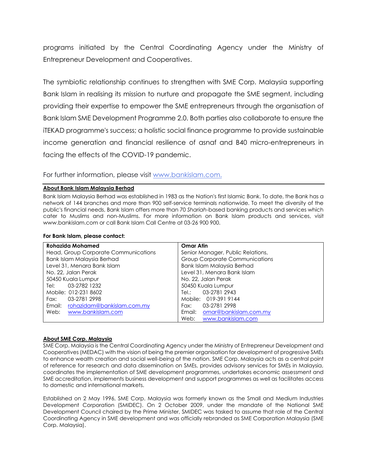programs initiated by the Central Coordinating Agency under the Ministry of Entrepreneur Development and Cooperatives.

The symbiotic relationship continues to strengthen with SME Corp. Malaysia supporting Bank Islam in realising its mission to nurture and propagate the SME segment, including providing their expertise to empower the SME entrepreneurs through the organisation of Bank Islam SME Development Programme 2.0. Both parties also collaborate to ensure the iTEKAD programme's success; a holistic social finance programme to provide sustainable income generation and financial resilience of asnaf and B40 micro-entrepreneurs in facing the effects of the COVID-19 pandemic.

For further information, please visit [www.bankislam.com.](http://www.bankislam.com/)

### **About Bank Islam Malaysia Berhad**

Bank Islam Malaysia Berhad was established in 1983 as the Nation's first Islamic Bank. To date, the Bank has a network of 144 branches and more than 900 self-service terminals nationwide. To meet the diversity of the public's financial needs, Bank Islam offers more than 70 *Shariah*-based banking products and services which cater to Muslims and non-Muslims. For more information on Bank Islam products and services, visit www.bankislam.com or call Bank Islam Call Centre at 03-26 900 900.

#### **For Bank Islam, please contact:**

| <b>Rohazida Mohamed</b>              | <b>Omar Atin</b>                      |
|--------------------------------------|---------------------------------------|
| Head, Group Corporate Communications | Senior Manager, Public Relations,     |
| Bank Islam Malaysia Berhad           | <b>Group Corporate Communications</b> |
| Level 31, Menara Bank Islam          | Bank Islam Malaysia Berhad            |
| No. 22, Jalan Perak                  | Level 31, Menara Bank Islam           |
| 50450 Kuala Lumpur                   | No. 22, Jalan Perak                   |
| 03-2782 1232<br>Tel:                 | 50450 Kuala Lumpur                    |
| Mobile: 012-231 8602                 | Tel.: 03-2781 2943                    |
| Fax: 03-2781 2998                    | Mobile: 019-391 9144                  |
| Email: rohazidam@bankislam.com.my    | Fax: 03-2781 2998                     |
| Web:<br>www.bankislam.com            | Email: omar@bankislam.com.my          |
|                                      | www.bankislam.com<br>Web:             |

#### **About SME Corp. Malaysia**

SME Corp. Malaysia is the Central Coordinating Agency under the Ministry of Entrepreneur Development and Cooperatives (MEDAC) with the vision of being the premier organisation for development of progressive SMEs to enhance wealth creation and social well-being of the nation. SME Corp. Malaysia acts as a central point of reference for research and data dissemination on SMEs, provides advisory services for SMEs in Malaysia, coordinates the implementation of SME development programmes, undertakes economic assessment and SME accreditation, implements business development and support programmes as well as facilitates access to domestic and international markets.

Established on 2 May 1996, SME Corp. Malaysia was formerly known as the Small and Medium Industries Development Corporation (SMIDEC). On 2 October 2009, under the mandate of the National SME Development Council chaired by the Prime Minister, SMIDEC was tasked to assume that role of the Central Coordinating Agency in SME development and was officially rebranded as SME Corporation Malaysia (SME Corp. Malaysia).